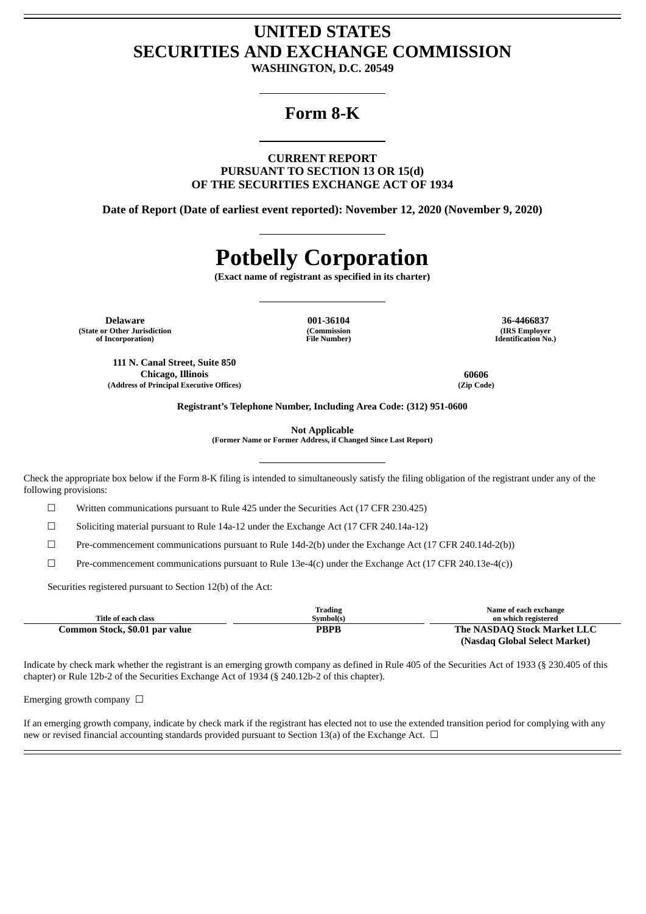# **UNITED STATES SECURITIES AND EXCHANGE COMMISSION**

**WASHINGTON, D.C. 20549**

## **Form 8-K**

**CURRENT REPORT PURSUANT TO SECTION 13 OR 15(d) OF THE SECURITIES EXCHANGE ACT OF 1934**

**Date of Report (Date of earliest event reported): November 12, 2020 (November 9, 2020)**

# **Potbelly Corporation**

**(Exact name of registrant as specified in its charter)**

**Delaware 001-36104 36-4466837 (State or Other Jurisdiction of Incorporation)**

**111 N. Canal Street, Suite 850**

**(Commission File Number)**

**(IRS Employer Identification No.)**

**Chicago, Illinois 60606 (Address of Principal Executive Offices) (Zip Code)**

**Registrant's Telephone Number, Including Area Code: (312) 951-0600**

**Not Applicable**

**(Former Name or Former Address, if Changed Since Last Report)**

Check the appropriate box below if the Form 8-K filing is intended to simultaneously satisfy the filing obligation of the registrant under any of the following provisions:

 $\Box$  Written communications pursuant to Rule 425 under the Securities Act (17 CFR 230.425)

 $\Box$  Soliciting material pursuant to Rule 14a-12 under the Exchange Act (17 CFR 240.14a-12)

 $\Box$  Pre-commencement communications pursuant to Rule 14d-2(b) under the Exchange Act (17 CFR 240.14d-2(b))

 $\Box$  Pre-commencement communications pursuant to Rule 13e-4(c) under the Exchange Act (17 CFR 240.13e-4(c))

Securities registered pursuant to Section 12(b) of the Act:

| Title of each class            | Trading<br>Symbol(s) | Name of each exchange<br>on which registered |
|--------------------------------|----------------------|----------------------------------------------|
| Common Stock, \$0.01 par value | PBPB                 | The NASDAQ Stock Market LLC                  |
|                                |                      | (Nasdag Global Select Market)                |

Indicate by check mark whether the registrant is an emerging growth company as defined in Rule 405 of the Securities Act of 1933 (§ 230.405 of this chapter) or Rule 12b-2 of the Securities Exchange Act of 1934 (§ 240.12b-2 of this chapter).

Emerging growth company  $\Box$ 

If an emerging growth company, indicate by check mark if the registrant has elected not to use the extended transition period for complying with any new or revised financial accounting standards provided pursuant to Section 13(a) of the Exchange Act.  $\Box$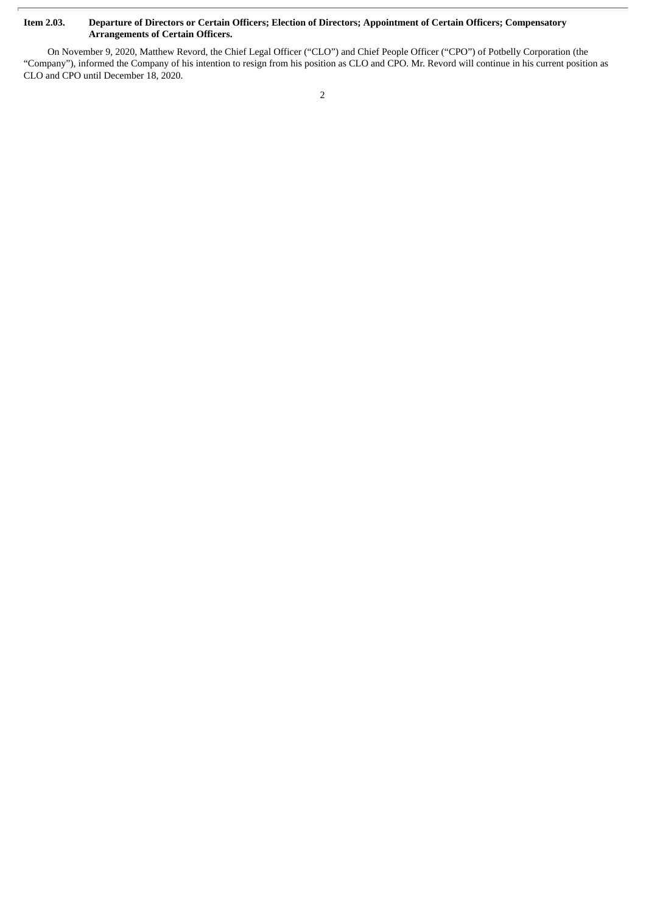### Item 2.03. Departure of Directors or Certain Officers; Election of Directors; Appointment of Certain Officers; Compensatory **Arrangements of Certain Officers.**

On November 9, 2020, Matthew Revord, the Chief Legal Officer ("CLO") and Chief People Officer ("CPO") of Potbelly Corporation (the "Company"), informed the Company of his intention to resign from his position as CLO and CPO. Mr. Revord will continue in his current position as CLO and CPO until December 18, 2020.